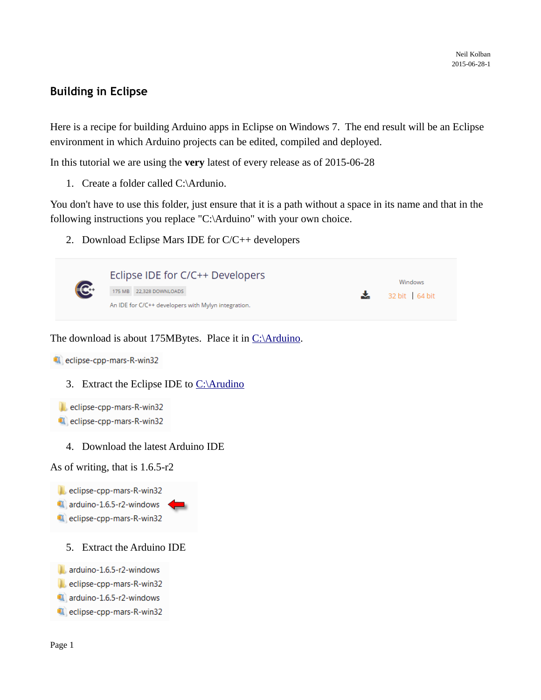## **Building in Eclipse**

Here is a recipe for building Arduino apps in Eclipse on Windows 7. The end result will be an Eclipse environment in which Arduino projects can be edited, compiled and deployed.

In this tutorial we are using the **very** latest of every release as of 2015-06-28

1. Create a folder called C:\Ardunio.

You don't have to use this folder, just ensure that it is a path without a space in its name and that in the following instructions you replace "C:\Arduino" with your own choice.

2. Download Eclipse Mars IDE for C/C++ developers



The download is about 175MBytes. Place it in [C:\Arduino.](file:///C:/Arduino)



3. Extract the Eclipse IDE to  $C:\mathrm{Arudino}$ 

eclipse-cpp-mars-R-win32 eclipse-cpp-mars-R-win32

4. Download the latest Arduino IDE

As of writing, that is 1.6.5-r2

- eclipse-cpp-mars-R-win32
- arduino-1.6.5-r2-windows
- eclipse-cpp-mars-R-win32
	- 5. Extract the Arduino IDE
- arduino-1.6.5-r2-windows
- eclipse-cpp-mars-R-win32
- arduino-1.6.5-r2-windows
- eclipse-cpp-mars-R-win32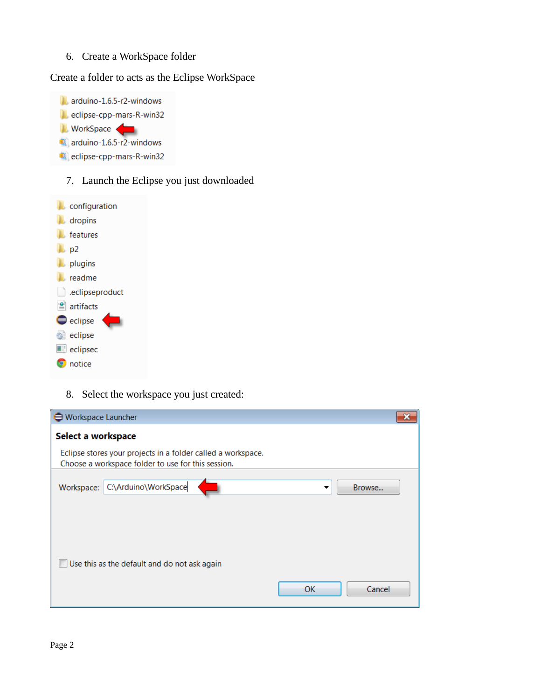6. Create a WorkSpace folder

Create a folder to acts as the Eclipse WorkSpace



7. Launch the Eclipse you just downloaded



8. Select the workspace you just created:

| Workspace Launcher                                                                                                 |              |
|--------------------------------------------------------------------------------------------------------------------|--------------|
| Select a workspace                                                                                                 |              |
| Eclipse stores your projects in a folder called a workspace.<br>Choose a workspace folder to use for this session. |              |
| C:\Arduino\WorkSpace<br>Workspace:                                                                                 | Browse<br>▼  |
|                                                                                                                    |              |
| Use this as the default and do not ask again                                                                       |              |
|                                                                                                                    | OK<br>Cancel |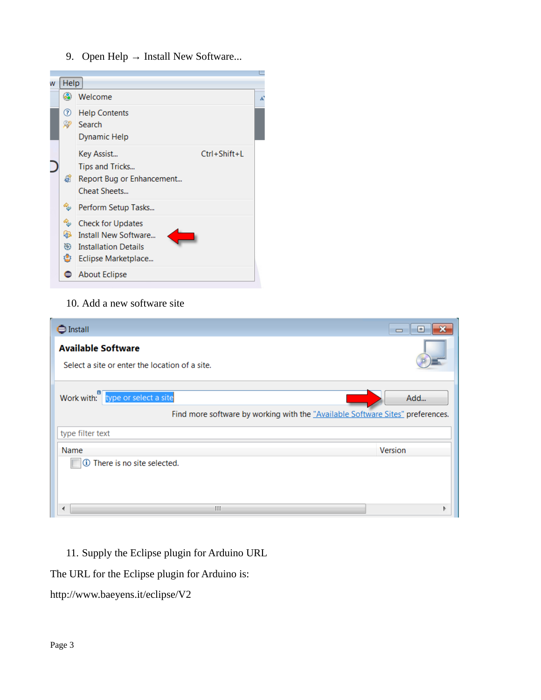9. Open Help → Install New Software...



### 10. Add a new software site

| S Install                                                                                                          | l۰      |
|--------------------------------------------------------------------------------------------------------------------|---------|
| <b>Available Software</b><br>Select a site or enter the location of a site.                                        |         |
| Work with: type or select a site<br>Find more software by working with the "Available Software Sites" preferences. | Add     |
| type filter text                                                                                                   |         |
| Name                                                                                                               | Version |
| 1 There is no site selected.                                                                                       |         |
| Ш<br>◀                                                                                                             |         |

11. Supply the Eclipse plugin for Arduino URL

The URL for the Eclipse plugin for Arduino is:

http://www.baeyens.it/eclipse/V2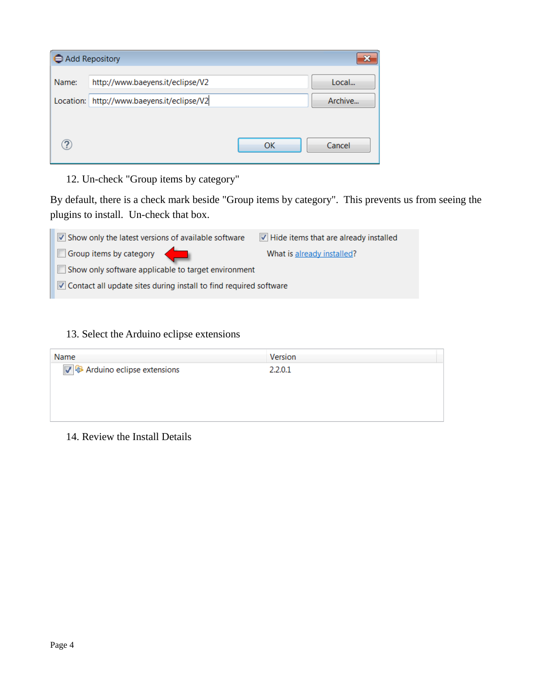| Add Repository |                                  |    |         |
|----------------|----------------------------------|----|---------|
| Name:          | http://www.baeyens.it/eclipse/V2 |    | Local   |
| Location:      | http://www.baeyens.it/eclipse/V2 |    | Archive |
|                |                                  |    |         |
| $\mathbf{P}$   |                                  | OK | Cancel  |

12. Un-check "Group items by category"

By default, there is a check mark beside "Group items by category". This prevents us from seeing the plugins to install. Un-check that box.

| $\vee$ Show only the latest versions of available software               | $\triangledown$ Hide items that are already installed |  |  |
|--------------------------------------------------------------------------|-------------------------------------------------------|--|--|
| Group items by category                                                  | What is already installed?                            |  |  |
| $\Box$ Show only software applicable to target environment               |                                                       |  |  |
| $\vee$ Contact all update sites during install to find required software |                                                       |  |  |

### 13. Select the Arduino eclipse extensions

| Name                                  | <b>Version</b> |
|---------------------------------------|----------------|
| √ <b>⊕</b> Arduino eclipse extensions | 2201           |

#### 14. Review the Install Details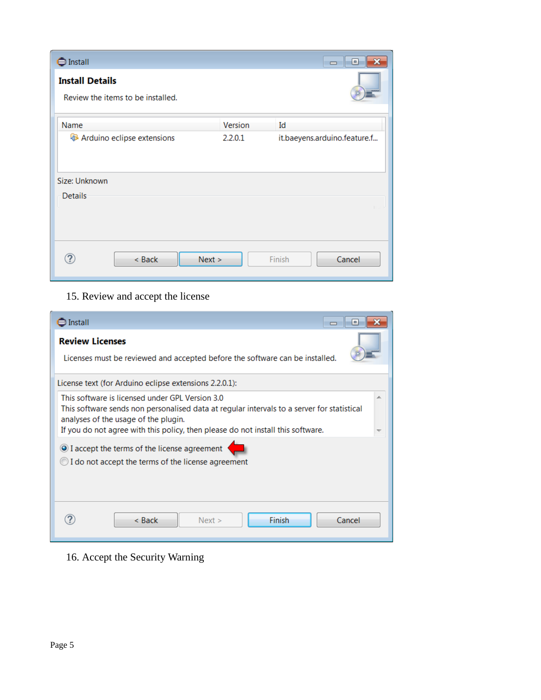| Sinstall                                                    |         | ▣<br>×<br>$\Box$             |
|-------------------------------------------------------------|---------|------------------------------|
| <b>Install Details</b><br>Review the items to be installed. |         |                              |
| Name                                                        | Version | Id                           |
| Arduino eclipse extensions                                  | 2.2.0.1 | it.baeyens.arduino.feature.f |
| Size: Unknown<br>Details                                    |         |                              |
|                                                             |         |                              |
| < Back                                                      | Next >  | Cancel<br>Finish             |

# 15. Review and accept the license

| $\exists$ Install<br>$\blacksquare$                                                                                                                                                                                                                                      |  |  |  |
|--------------------------------------------------------------------------------------------------------------------------------------------------------------------------------------------------------------------------------------------------------------------------|--|--|--|
| <b>Review Licenses</b><br>Licenses must be reviewed and accepted before the software can be installed.                                                                                                                                                                   |  |  |  |
| License text (for Arduino eclipse extensions 2.2.0.1):                                                                                                                                                                                                                   |  |  |  |
| This software is licensed under GPL Version 3.0<br>This software sends non personalised data at regular intervals to a server for statistical<br>analyses of the usage of the plugin.<br>If you do not agree with this policy, then please do not install this software. |  |  |  |
| I accept the terms of the license agreement<br>$\bigcirc$ I do not accept the terms of the license agreement                                                                                                                                                             |  |  |  |
| <b>Finish</b><br>Cancel<br>$<$ Back<br>Next >                                                                                                                                                                                                                            |  |  |  |

16. Accept the Security Warning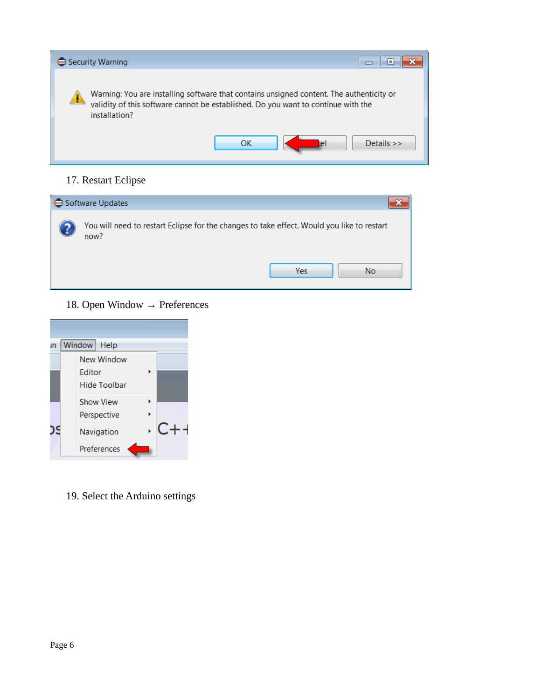

#### 17. Restart Eclipse



18. Open Window → Preferences



19. Select the Arduino settings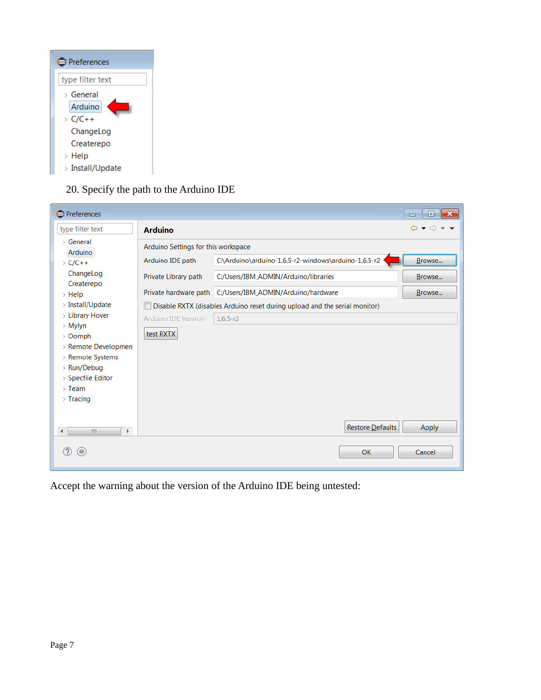| <b>■</b> Preferences |
|----------------------|
| type filter text     |
| > General            |
| Arduino              |
| $\angle$ C/C++       |
| ChangeLog            |
| Createrepo           |
| $>$ Help             |
| > Install/Update     |

20. Specify the path to the Arduino IDE

| <b>O</b> Preferences          |                                     |                                                                            | $\blacksquare$ $\blacksquare$<br>$\Box$                                                               |
|-------------------------------|-------------------------------------|----------------------------------------------------------------------------|-------------------------------------------------------------------------------------------------------|
| type filter text              | <b>Arduino</b>                      |                                                                            | $\Leftrightarrow$ $\blacktriangledown$ $\blacktriangledown$ $\blacktriangledown$ $\blacktriangledown$ |
| > General                     | Arduino Settings for this workspace |                                                                            |                                                                                                       |
| Arduino<br>$\sum$ C/C++       | Arduino IDE path                    | C:\Arduino\arduino-1.6.5-r2-windows\arduino-1.6.5-r2                       | Browse                                                                                                |
| ChangeLog<br>Createrepo       | Private Library path                | C:/Users/IBM_ADMIN/Arduino/libraries                                       | Browse                                                                                                |
| $>$ Help                      |                                     | Private hardware path C:/Users/IBM_ADMIN/Arduino/hardware                  | Browse                                                                                                |
| > Install/Update              |                                     | Disable RXTX (disables Arduino reset during upload and the serial monitor) |                                                                                                       |
| > Library Hover               | Arduino IDE Version                 | $1.6.5-r2$                                                                 |                                                                                                       |
| > Mylyn<br>> Oomph            | test RXTX                           |                                                                            |                                                                                                       |
| > Remote Developmen           |                                     |                                                                            |                                                                                                       |
| > Remote Systems              |                                     |                                                                            |                                                                                                       |
| > Run/Debug                   |                                     |                                                                            |                                                                                                       |
| > Specfile Editor             |                                     |                                                                            |                                                                                                       |
| $>$ Team                      |                                     |                                                                            |                                                                                                       |
| $\frac{1}{2}$ Tracing         |                                     |                                                                            |                                                                                                       |
|                               |                                     |                                                                            |                                                                                                       |
| $\leftarrow$<br>HH.<br>Þ.     |                                     | Restore Defaults                                                           | Apply                                                                                                 |
| $(\textcolor{blue}{\bullet})$ |                                     | OK                                                                         | Cancel                                                                                                |

Accept the warning about the version of the Arduino IDE being untested: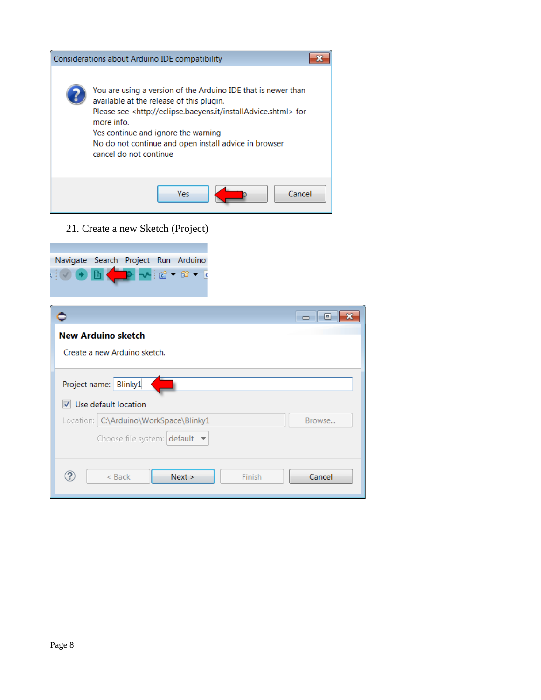| Considerations about Arduino IDE compatibility                                                                                                                                                                                                                                                                                       |
|--------------------------------------------------------------------------------------------------------------------------------------------------------------------------------------------------------------------------------------------------------------------------------------------------------------------------------------|
| You are using a version of the Arduino IDE that is newer than<br>available at the release of this plugin.<br>Please see <http: eclipse.baeyens.it="" installadvice.shtml=""> for<br/>more info.<br/>Yes continue and ignore the warning<br/>No do not continue and open install advice in browser<br/>cancel do not continue</http:> |
| Yes<br>Cancel                                                                                                                                                                                                                                                                                                                        |

21. Create a new Sketch (Project)



|                                                               | l a    |
|---------------------------------------------------------------|--------|
| <b>New Arduino sketch</b>                                     |        |
| Create a new Arduino sketch.                                  |        |
| Project name: Blinky1<br>$\triangledown$ Use default location |        |
| Location: C:\Arduino\WorkSpace\Blinky1                        | Browse |
| Choose file system: $\det \mathbf{v}$                         |        |
| 7<br>Finish<br>$<$ Back<br>Next >                             | Cancel |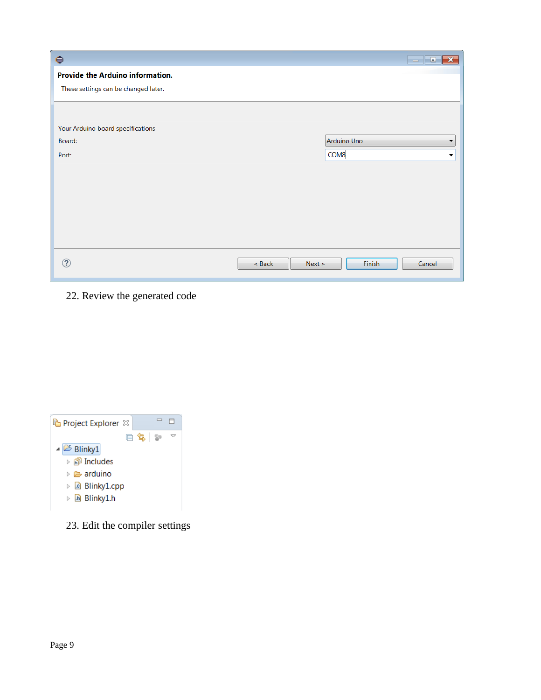|                    | $\begin{array}{c c c c c c} \hline \multicolumn{3}{c }{\mathbf{C}} & \multicolumn{3}{c }{\mathbf{X}} \end{array}$ |
|--------------------|-------------------------------------------------------------------------------------------------------------------|
|                    |                                                                                                                   |
|                    |                                                                                                                   |
|                    |                                                                                                                   |
|                    |                                                                                                                   |
|                    | Arduino Uno<br>▼                                                                                                  |
|                    | COM8<br>▼                                                                                                         |
|                    |                                                                                                                   |
|                    |                                                                                                                   |
|                    |                                                                                                                   |
|                    |                                                                                                                   |
|                    |                                                                                                                   |
|                    |                                                                                                                   |
| $<$ Back<br>Next > | Finish<br>Cancel                                                                                                  |
|                    |                                                                                                                   |

22. Review the generated code

| Project Explorer &                                                                             |
|------------------------------------------------------------------------------------------------|
| 白色!?<br>$\triangle$ Blinky1<br>D <b>arduino</b><br>▷ <i>L</i> e Blinky1.cpp<br>▷ lai Blinky1.h |

23. Edit the compiler settings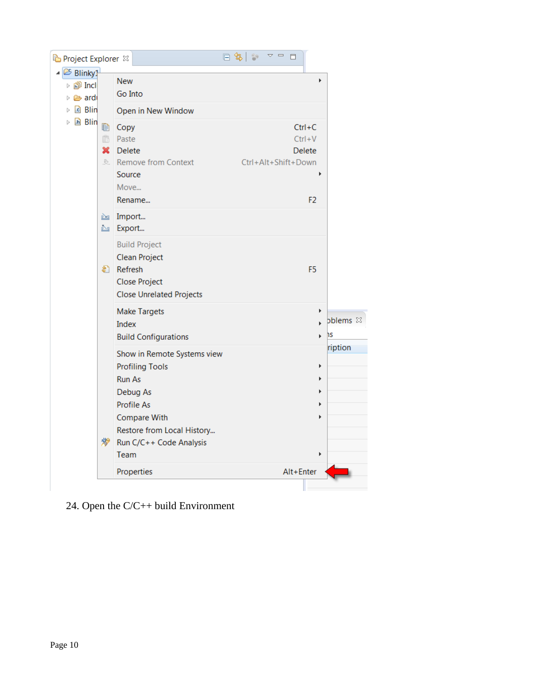|                                     |                               |                                                                                                         | 日冬<br>$\qquad \qquad \Box$<br>目    |                                 |
|-------------------------------------|-------------------------------|---------------------------------------------------------------------------------------------------------|------------------------------------|---------------------------------|
| Project Explorer $\boxtimes$        |                               |                                                                                                         |                                    |                                 |
| ▲ <sup>26</sup> Blinky1<br>▷ 酃 Incl |                               | <b>New</b>                                                                                              |                                    | Þ                               |
| ▷ <mark>② ardi</mark>               |                               | Go Into                                                                                                 |                                    |                                 |
| ▷ la Blin                           |                               | Open in New Window                                                                                      |                                    |                                 |
| h Blin<br>Þ                         | le<br>Ġ<br>×<br>$\mathcal{L}$ | Copy<br>Paste<br><b>Delete</b>                                                                          | $Ctrl + C$<br>$Ctrl + V$<br>Delete |                                 |
|                                     |                               | <b>Remove from Context</b><br>Source<br>Move                                                            | Ctrl+Alt+Shift+Down                |                                 |
|                                     |                               | Rename                                                                                                  | F <sub>2</sub>                     |                                 |
|                                     | क्षी.<br>滲                    | <b>M</b> Import<br><b>No Export</b>                                                                     |                                    |                                 |
|                                     |                               | <b>Build Project</b><br>Clean Project<br>Refresh<br>Close Project<br><b>Close Unrelated Projects</b>    | F <sub>5</sub>                     |                                 |
|                                     |                               | <b>Make Targets</b><br>Index<br><b>Build Configurations</b>                                             |                                    | Þ<br>bblems &<br><b>IS</b><br>k |
|                                     |                               | Show in Remote Systems view<br><b>Profiling Tools</b><br><b>Run As</b><br>Debug As<br><b>Profile As</b> |                                    | ription<br>Þ<br>Þ<br>Þ          |
|                                     |                               | Compare With<br>Restore from Local History<br>Run C/C++ Code Analysis<br>Team                           |                                    | ь<br>Þ                          |
|                                     |                               | Properties                                                                                              | Alt+Enter                          |                                 |
|                                     |                               |                                                                                                         |                                    |                                 |

24. Open the C/C++ build Environment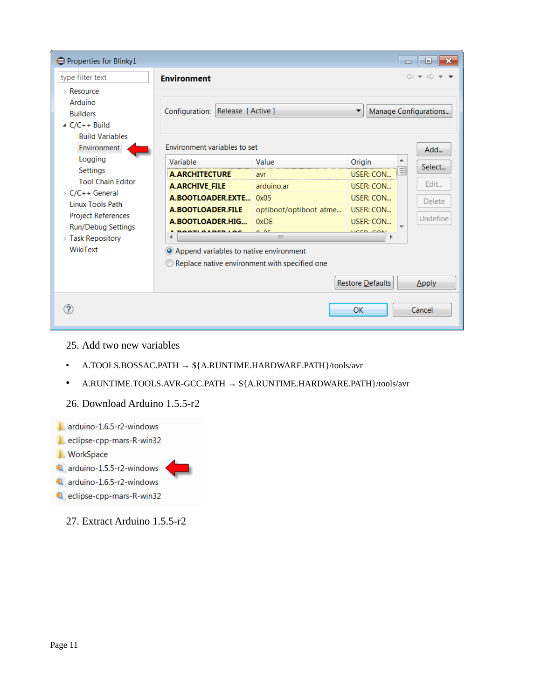| Properties for Blinky1                                                                                                                                                                               |                                                                                                                                                                                                                            |                                                                                |                                                                                                                   | $\Box$ $\mathbf{x}$<br>$\Box$                                   |
|------------------------------------------------------------------------------------------------------------------------------------------------------------------------------------------------------|----------------------------------------------------------------------------------------------------------------------------------------------------------------------------------------------------------------------------|--------------------------------------------------------------------------------|-------------------------------------------------------------------------------------------------------------------|-----------------------------------------------------------------|
| type filter text                                                                                                                                                                                     | <b>Environment</b>                                                                                                                                                                                                         |                                                                                |                                                                                                                   | $\Leftrightarrow$ $\leftrightarrow$ $\rightarrow$ $\rightarrow$ |
| $\angle$ Resource<br>Arduino<br><b>Builders</b><br>$\triangle$ C/C++ Build<br><b>Build Variables</b>                                                                                                 | Configuration: Release [ Active ]                                                                                                                                                                                          |                                                                                |                                                                                                                   | Manage Configurations                                           |
| Environment                                                                                                                                                                                          | Environment variables to set                                                                                                                                                                                               |                                                                                |                                                                                                                   | Add                                                             |
| Logging<br>Settings<br><b>Tool Chain Editor</b><br>$\rightarrow$ C/C++ General<br><b>Linux Tools Path</b><br><b>Project References</b><br>Run/Debug Settings<br>$\angle$ Task Repository<br>WikiText | Variable<br><b>A.ARCHITECTURE</b><br><b>A.ARCHIVE FILE</b><br>A.BOOTLOADER.EXTE 0x05<br>A.BOOTLOADER.FILE<br>A.BOOTLOADER.HIG<br>O Append variables to native environment<br>Replace native environment with specified one | Value<br>avr<br>arduino.ar<br>optiboot/optiboot_atme<br>0xDE<br>$\sim$ or<br>Ш | Origin<br><b>USER: CON</b><br><b>USER: CON</b><br>USER: CON<br>USER: CON<br><b>USER: CON</b><br><b>LICED CONT</b> | Select<br>Edit<br><b>Delete</b><br>Undefine                     |
|                                                                                                                                                                                                      |                                                                                                                                                                                                                            |                                                                                | Restore Defaults                                                                                                  | Apply                                                           |
|                                                                                                                                                                                                      |                                                                                                                                                                                                                            |                                                                                | OK                                                                                                                | Cancel                                                          |

- 25. Add two new variables
- A.TOOLS.BOSSAC.PATH → \${A.RUNTIME.HARDWARE.PATH}/tools/avr
- A.RUNTIME.TOOLS.AVR-GCC.PATH  $\rightarrow$  \${A.RUNTIME.HARDWARE.PATH}/tools/avr
- 26. Download Arduino 1.5.5-r2



27. Extract Arduino 1.5.5-r2